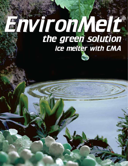# EnvironMelt® ice melter with CMA